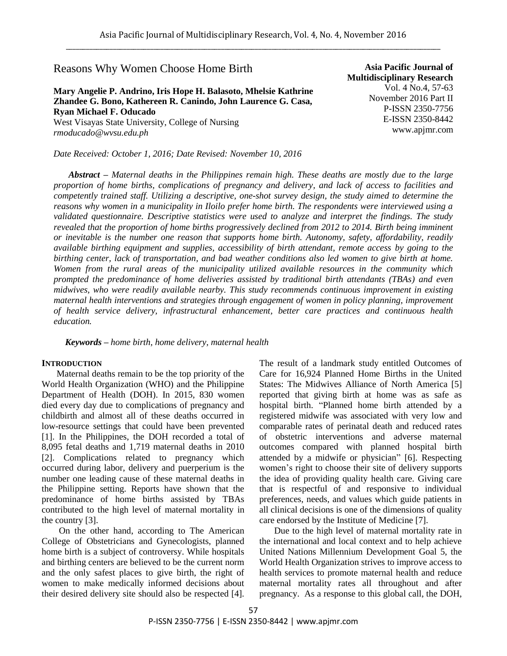## Reasons Why Women Choose Home Birth

# **Mary Angelie P. Andrino, Iris Hope H. Balasoto, Mhelsie Kathrine Zhandee G. Bono, Kathereen R. Canindo, John Laurence G. Casa, Ryan Michael F. Oducado**

West Visayas State University, College of Nursing *rmoducado@wvsu.edu.ph*

*Date Received: October 1, 2016; Date Revised: November 10, 2016*

**Asia Pacific Journal of Multidisciplinary Research** Vol. 4 No.4, 57-63 November 2016 Part II P-ISSN 2350-7756 E-ISSN 2350-8442 www.apjmr.com

*Abstract – Maternal deaths in the Philippines remain high. These deaths are mostly due to the large proportion of home births, complications of pregnancy and delivery, and lack of access to facilities and competently trained staff. Utilizing a descriptive, one-shot survey design, the study aimed to determine the reasons why women in a municipality in Iloilo prefer home birth. The respondents were interviewed using a validated questionnaire. Descriptive statistics were used to analyze and interpret the findings. The study revealed that the proportion of home births progressively declined from 2012 to 2014. Birth being imminent or inevitable is the number one reason that supports home birth. Autonomy, safety, affordability, readily available birthing equipment and supplies, accessibility of birth attendant, remote access by going to the birthing center, lack of transportation, and bad weather conditions also led women to give birth at home. Women from the rural areas of the municipality utilized available resources in the community which prompted the predominance of home deliveries assisted by traditional birth attendants (TBAs) and even midwives, who were readily available nearby. This study recommends continuous improvement in existing maternal health interventions and strategies through engagement of women in policy planning, improvement of health service delivery, infrastructural enhancement, better care practices and continuous health education.*

*Keywords – home birth, home delivery, maternal health*

#### **INTRODUCTION**

Maternal deaths remain to be the top priority of the World Health Organization (WHO) and the Philippine Department of Health (DOH). In 2015, 830 women died every day due to complications of pregnancy and childbirth and almost all of these deaths occurred in low-resource settings that could have been prevented [1]. In the Philippines, the DOH recorded a total of 8,095 fetal deaths and 1,719 maternal deaths in 2010 [2]. Complications related to pregnancy which occurred during labor, delivery and puerperium is the number one leading cause of these maternal deaths in the Philippine setting. Reports have shown that the predominance of home births assisted by TBAs contributed to the high level of maternal mortality in the country [3].

 On the other hand, according to The American College of Obstetricians and Gynecologists, planned home birth is a subject of controversy. While hospitals and birthing centers are believed to be the current norm and the only safest places to give birth, the right of women to make medically informed decisions about their desired delivery site should also be respected [4].

The result of a landmark study entitled Outcomes of Care for 16,924 Planned Home Births in the United States: The Midwives Alliance of North America [5] reported that giving birth at home was as safe as hospital birth. "Planned home birth attended by a registered midwife was associated with very low and comparable rates of perinatal death and reduced rates of obstetric interventions and adverse maternal outcomes compared with planned hospital birth attended by a midwife or physician" [6]. Respecting women's right to choose their site of delivery supports the idea of providing quality health care. Giving care that is respectful of and responsive to individual preferences, needs, and values which guide patients in all clinical decisions is one of the dimensions of quality care endorsed by the Institute of Medicine [7].

Due to the high level of maternal mortality rate in the international and local context and to help achieve United Nations Millennium Development Goal 5, the World Health Organization strives to improve access to health services to promote maternal health and reduce maternal mortality rates all throughout and after pregnancy. As a response to this global call, the DOH,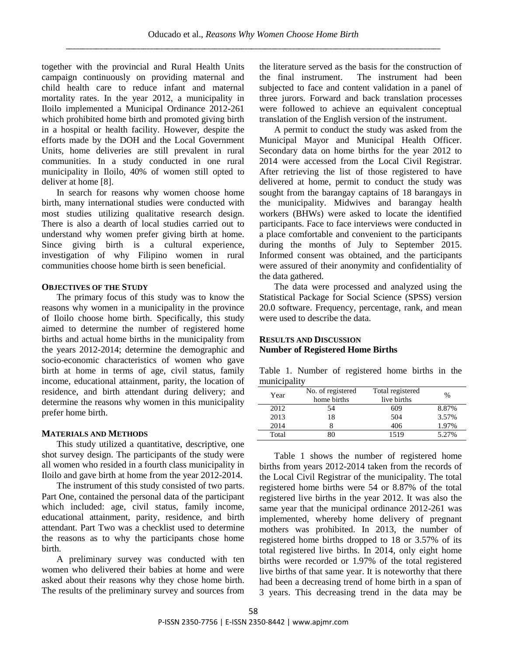together with the provincial and Rural Health Units campaign continuously on providing maternal and child health care to reduce infant and maternal mortality rates. In the year 2012, a municipality in Iloilo implemented a Municipal Ordinance 2012-261 which prohibited home birth and promoted giving birth in a hospital or health facility. However, despite the efforts made by the DOH and the Local Government Units, home deliveries are still prevalent in rural communities. In a study conducted in one rural municipality in Iloilo, 40% of women still opted to deliver at home [8].

 In search for reasons why women choose home birth, many international studies were conducted with most studies utilizing qualitative research design. There is also a dearth of local studies carried out to understand why women prefer giving birth at home. Since giving birth is a cultural experience, investigation of why Filipino women in rural communities choose home birth is seen beneficial.

### **OBJECTIVES OF THE STUDY**

The primary focus of this study was to know the reasons why women in a municipality in the province of Iloilo choose home birth. Specifically, this study aimed to determine the number of registered home births and actual home births in the municipality from the years 2012-2014; determine the demographic and socio-economic characteristics of women who gave birth at home in terms of age, civil status, family income, educational attainment, parity, the location of residence, and birth attendant during delivery; and determine the reasons why women in this municipality prefer home birth.

### **MATERIALS AND METHODS**

This study utilized a quantitative, descriptive, one shot survey design. The participants of the study were all women who resided in a fourth class municipality in Iloilo and gave birth at home from the year 2012-2014.

 The instrument of this study consisted of two parts. Part One, contained the personal data of the participant which included: age, civil status, family income, educational attainment, parity, residence, and birth attendant. Part Two was a checklist used to determine the reasons as to why the participants chose home birth.

 A preliminary survey was conducted with ten women who delivered their babies at home and were asked about their reasons why they chose home birth. The results of the preliminary survey and sources from

the literature served as the basis for the construction of the final instrument. The instrument had been subjected to face and content validation in a panel of three jurors. Forward and back translation processes were followed to achieve an equivalent conceptual translation of the English version of the instrument.

 A permit to conduct the study was asked from the Municipal Mayor and Municipal Health Officer. Secondary data on home births for the year 2012 to 2014 were accessed from the Local Civil Registrar. After retrieving the list of those registered to have delivered at home, permit to conduct the study was sought from the barangay captains of 18 barangays in the municipality. Midwives and barangay health workers (BHWs) were asked to locate the identified participants. Face to face interviews were conducted in a place comfortable and convenient to the participants during the months of July to September 2015. Informed consent was obtained, and the participants were assured of their anonymity and confidentiality of the data gathered.

 The data were processed and analyzed using the Statistical Package for Social Science (SPSS) version 20.0 software. Frequency, percentage, rank, and mean were used to describe the data.

## **RESULTS AND DISCUSSION Number of Registered Home Births**

|              |  | Table 1. Number of registered home births in the |  |  |
|--------------|--|--------------------------------------------------|--|--|
| municipality |  |                                                  |  |  |

| Year  | No. of registered<br>home births | Total registered<br>live births | $\%$  |
|-------|----------------------------------|---------------------------------|-------|
| 2012  | 54                               | 609                             | 8.87% |
| 2013  | 18                               | 504                             | 3.57% |
| 2014  |                                  | 406                             | 1.97% |
| Total | 30                               | 1519                            | 5.27% |

Table 1 shows the number of registered home births from years 2012-2014 taken from the records of the Local Civil Registrar of the municipality. The total registered home births were 54 or 8.87% of the total registered live births in the year 2012. It was also the same year that the municipal ordinance 2012-261 was implemented, whereby home delivery of pregnant mothers was prohibited. In 2013, the number of registered home births dropped to 18 or 3.57% of its total registered live births. In 2014, only eight home births were recorded or 1.97% of the total registered live births of that same year. It is noteworthy that there had been a decreasing trend of home birth in a span of 3 years. This decreasing trend in the data may be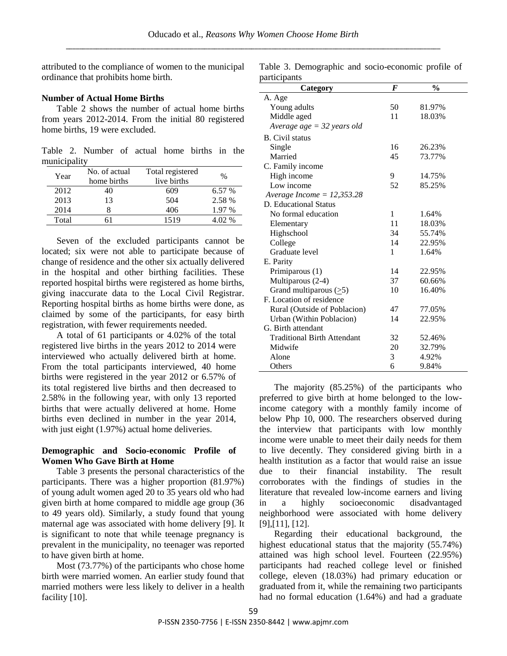attributed to the compliance of women to the municipal ordinance that prohibits home birth.

#### **Number of Actual Home Births**

Table 2 shows the number of actual home births from years 2012-2014. From the initial 80 registered home births, 19 were excluded.

Table 2. Number of actual home births in the municipality

| Year  | No. of actual<br>home births | Total registered<br>live births | $\%$     |
|-------|------------------------------|---------------------------------|----------|
| 2012  | 40                           | 609                             | 6.57%    |
| 2013  | 13                           | 504                             | 2.58 %   |
| 2014  |                              | 406                             | 1.97 %   |
| Total |                              | 1519                            | $4.02\%$ |

Seven of the excluded participants cannot be located; six were not able to participate because of change of residence and the other six actually delivered in the hospital and other birthing facilities. These reported hospital births were registered as home births, giving inaccurate data to the Local Civil Registrar. Reporting hospital births as home births were done, as claimed by some of the participants, for easy birth registration, with fewer requirements needed.

A total of 61 participants or 4.02% of the total registered live births in the years 2012 to 2014 were interviewed who actually delivered birth at home. From the total participants interviewed, 40 home births were registered in the year 2012 or 6.57% of its total registered live births and then decreased to 2.58% in the following year, with only 13 reported births that were actually delivered at home. Home births even declined in number in the year 2014, with just eight (1.97%) actual home deliveries.

## **Demographic and Socio-economic Profile of Women Who Gave Birth at Home**

Table 3 presents the personal characteristics of the participants. There was a higher proportion (81.97%) of young adult women aged 20 to 35 years old who had given birth at home compared to middle age group (36 to 49 years old). Similarly, a study found that young maternal age was associated with home delivery [9]. It is significant to note that while teenage pregnancy is prevalent in the municipality, no teenager was reported to have given birth at home.

 Most (73.77%) of the participants who chose home birth were married women. An earlier study found that married mothers were less likely to deliver in a health facility [10].

Table 3. Demographic and socio-economic profile of participants

| ui uvipunu<br>Category             | F  | $\frac{0}{0}$ |
|------------------------------------|----|---------------|
| A. Age                             |    |               |
| Young adults                       | 50 | 81.97%        |
| Middle aged                        | 11 | 18.03%        |
| Average age $=$ 32 years old       |    |               |
| <b>B.</b> Civil status             |    |               |
| Single                             | 16 | 26.23%        |
| Married                            | 45 | 73.77%        |
| C. Family income                   |    |               |
| High income                        | 9  | 14.75%        |
| Low income                         | 52 | 85.25%        |
| Average Income = $12,353.28$       |    |               |
| D. Educational Status              |    |               |
| No formal education                | 1  | 1.64%         |
| Elementary                         | 11 | 18.03%        |
| Highschool                         | 34 | 55.74%        |
| College                            | 14 | 22.95%        |
| Graduate level                     | 1  | 1.64%         |
| E. Parity                          |    |               |
| Primiparous (1)                    | 14 | 22.95%        |
| Multiparous (2-4)                  | 37 | 60.66%        |
| Grand multiparous $(≥5)$           | 10 | 16.40%        |
| F. Location of residence           |    |               |
| Rural (Outside of Poblacion)       | 47 | 77.05%        |
| Urban (Within Poblacion)           | 14 | 22.95%        |
| G. Birth attendant                 |    |               |
| <b>Traditional Birth Attendant</b> | 32 | 52.46%        |
| Midwife                            | 20 | 32.79%        |
| Alone                              | 3  | 4.92%         |
| Others                             | 6  | 9.84%         |

The majority (85.25%) of the participants who preferred to give birth at home belonged to the lowincome category with a monthly family income of below Php 10, 000. The researchers observed during the interview that participants with low monthly income were unable to meet their daily needs for them to live decently. They considered giving birth in a health institution as a factor that would raise an issue due to their financial instability. The result corroborates with the findings of studies in the literature that revealed low-income earners and living in a highly socioeconomic disadvantaged neighborhood were associated with home delivery [9],[11], [12].

Regarding their educational background, the highest educational status that the majority (55.74%) attained was high school level. Fourteen (22.95%) participants had reached college level or finished college, eleven (18.03%) had primary education or graduated from it, while the remaining two participants had no formal education (1.64%) and had a graduate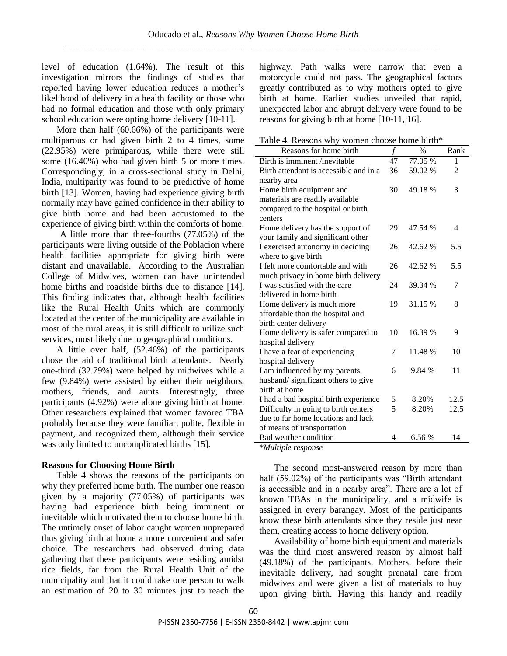level of education (1.64%). The result of this investigation mirrors the findings of studies that reported having lower education reduces a mother"s likelihood of delivery in a health facility or those who had no formal education and those with only primary school education were opting home delivery [10-11].

More than half (60.66%) of the participants were multiparous or had given birth 2 to 4 times, some (22.95%) were primiparous, while there were still some (16.40%) who had given birth 5 or more times. Correspondingly, in a cross-sectional study in Delhi, India, multiparity was found to be predictive of home birth [13]. Women, having had experience giving birth normally may have gained confidence in their ability to give birth home and had been accustomed to the experience of giving birth within the comforts of home.

 A little more than three-fourths (77.05%) of the participants were living outside of the Poblacion where health facilities appropriate for giving birth were distant and unavailable. According to the Australian College of Midwives, women can have unintended home births and roadside births due to distance [14]. This finding indicates that, although health facilities like the Rural Health Units which are commonly located at the center of the municipality are available in most of the rural areas, it is still difficult to utilize such services, most likely due to geographical conditions.

 A little over half, (52.46%) of the participants chose the aid of traditional birth attendants. Nearly one-third (32.79%) were helped by midwives while a few (9.84%) were assisted by either their neighbors, mothers, friends, and aunts. Interestingly, three participants (4.92%) were alone giving birth at home. Other researchers explained that women favored TBA probably because they were familiar, polite, flexible in payment, and recognized them, although their service was only limited to uncomplicated births [15].

### **Reasons for Choosing Home Birth**

Table 4 shows the reasons of the participants on why they preferred home birth. The number one reason given by a majority (77.05%) of participants was having had experience birth being imminent or inevitable which motivated them to choose home birth. The untimely onset of labor caught women unprepared thus giving birth at home a more convenient and safer choice. The researchers had observed during data gathering that these participants were residing amidst rice fields, far from the Rural Health Unit of the municipality and that it could take one person to walk an estimation of 20 to 30 minutes just to reach the

highway. Path walks were narrow that even a motorcycle could not pass. The geographical factors greatly contributed as to why mothers opted to give birth at home. Earlier studies unveiled that rapid, unexpected labor and abrupt delivery were found to be reasons for giving birth at home [10-11, 16].

Table 4. Reasons why women choose home birth\*

| Reasons for home birth                 | $\mathcal{f}$ | $\%$    | Rank           |
|----------------------------------------|---------------|---------|----------------|
| Birth is imminent /inevitable          | 47            | 77.05 % | 1              |
| Birth attendant is accessible and in a | 36            | 59.02 % | $\overline{2}$ |
| nearby area                            |               |         |                |
| Home birth equipment and               | 30            | 49.18%  | 3              |
| materials are readily available        |               |         |                |
| compared to the hospital or birth      |               |         |                |
| centers                                |               |         |                |
| Home delivery has the support of       | 29            | 47.54 % | 4              |
| your family and significant other      |               |         |                |
| I exercised autonomy in deciding       | 26            | 42.62 % | 5.5            |
| where to give birth                    |               |         |                |
| I felt more comfortable and with       | 26            | 42.62 % | 5.5            |
| much privacy in home birth delivery    |               |         |                |
| I was satisfied with the care          | 24            | 39.34 % | 7              |
| delivered in home birth                |               |         |                |
| Home delivery is much more             | 19            | 31.15 % | 8              |
| affordable than the hospital and       |               |         |                |
| birth center delivery                  |               |         |                |
| Home delivery is safer compared to     | 10            | 16.39 % | 9              |
| hospital delivery                      |               |         |                |
| I have a fear of experiencing          | 7             | 11.48 % | 10             |
| hospital delivery                      |               |         |                |
| I am influenced by my parents,         | 6             | 9.84 %  | 11             |
| husband/significant others to give     |               |         |                |
| birth at home                          |               |         |                |
| I had a bad hospital birth experience  | 5             | 8.20%   | 12.5           |
| Difficulty in going to birth centers   | 5             | 8.20%   | 12.5           |
| due to far home locations and lack     |               |         |                |
| of means of transportation             |               |         |                |
| Bad weather condition                  | 4             | 6.56 %  | 14             |
| $*$ <i>Multiple response</i>           |               |         |                |

*\*Multiple response*

The second most-answered reason by more than half (59.02%) of the participants was "Birth attendant" is accessible and in a nearby area". There are a lot of known TBAs in the municipality, and a midwife is assigned in every barangay. Most of the participants know these birth attendants since they reside just near them, creating access to home delivery option.

 Availability of home birth equipment and materials was the third most answered reason by almost half (49.18%) of the participants. Mothers, before their inevitable delivery, had sought prenatal care from midwives and were given a list of materials to buy upon giving birth. Having this handy and readily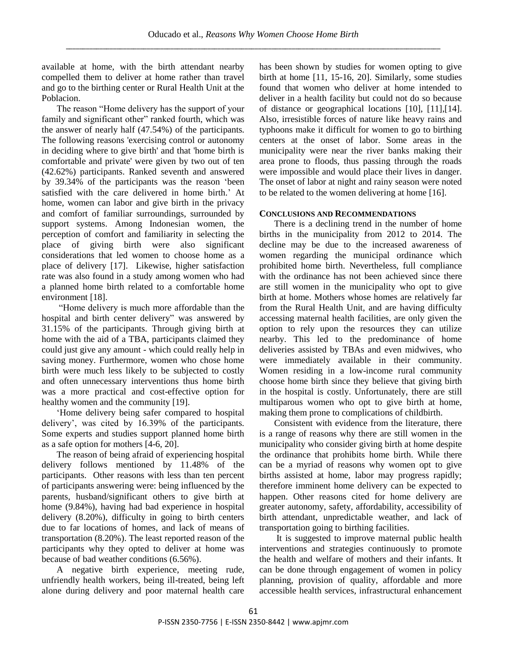available at home, with the birth attendant nearby compelled them to deliver at home rather than travel and go to the birthing center or Rural Health Unit at the Poblacion.

The reason "Home delivery has the support of your family and significant other" ranked fourth, which was the answer of nearly half (47.54%) of the participants. The following reasons 'exercising control or autonomy in deciding where to give birth' and that 'home birth is comfortable and private' were given by two out of ten (42.62%) participants. Ranked seventh and answered by 39.34% of the participants was the reason "been satisfied with the care delivered in home birth.' At home, women can labor and give birth in the privacy and comfort of familiar surroundings, surrounded by support systems. Among Indonesian women, the perception of comfort and familiarity in selecting the place of giving birth were also significant considerations that led women to choose home as a place of delivery [17]. Likewise, higher satisfaction rate was also found in a study among women who had a planned home birth related to a comfortable home environment [18].

"Home delivery is much more affordable than the hospital and birth center delivery" was answered by 31.15% of the participants. Through giving birth at home with the aid of a TBA, participants claimed they could just give any amount - which could really help in saving money. Furthermore, women who chose home birth were much less likely to be subjected to costly and often unnecessary interventions thus home birth was a more practical and cost-effective option for healthy women and the community [19].

"Home delivery being safer compared to hospital delivery", was cited by 16.39% of the participants. Some experts and studies support planned home birth as a safe option for mothers [4-6, 20].

The reason of being afraid of experiencing hospital delivery follows mentioned by 11.48% of the participants. Other reasons with less than ten percent of participants answering were: being influenced by the parents, husband/significant others to give birth at home (9.84%), having had bad experience in hospital delivery (8.20%), difficulty in going to birth centers due to far locations of homes, and lack of means of transportation (8.20%). The least reported reason of the participants why they opted to deliver at home was because of bad weather conditions (6.56%).

A negative birth experience, meeting rude, unfriendly health workers, being ill-treated, being left alone during delivery and poor maternal health care has been shown by studies for women opting to give birth at home [11, 15-16, 20]. Similarly, some studies found that women who deliver at home intended to deliver in a health facility but could not do so because of distance or geographical locations [10], [11],[14]. Also, irresistible forces of nature like heavy rains and typhoons make it difficult for women to go to birthing centers at the onset of labor. Some areas in the municipality were near the river banks making their area prone to floods, thus passing through the roads were impossible and would place their lives in danger. The onset of labor at night and rainy season were noted to be related to the women delivering at home [16].

## **CONCLUSIONS AND RECOMMENDATIONS**

There is a declining trend in the number of home births in the municipality from 2012 to 2014. The decline may be due to the increased awareness of women regarding the municipal ordinance which prohibited home birth. Nevertheless, full compliance with the ordinance has not been achieved since there are still women in the municipality who opt to give birth at home. Mothers whose homes are relatively far from the Rural Health Unit, and are having difficulty accessing maternal health facilities, are only given the option to rely upon the resources they can utilize nearby. This led to the predominance of home deliveries assisted by TBAs and even midwives, who were immediately available in their community. Women residing in a low-income rural community choose home birth since they believe that giving birth in the hospital is costly. Unfortunately, there are still multiparous women who opt to give birth at home, making them prone to complications of childbirth.

 Consistent with evidence from the literature, there is a range of reasons why there are still women in the municipality who consider giving birth at home despite the ordinance that prohibits home birth. While there can be a myriad of reasons why women opt to give births assisted at home, labor may progress rapidly; therefore imminent home delivery can be expected to happen. Other reasons cited for home delivery are greater autonomy, safety, affordability, accessibility of birth attendant, unpredictable weather, and lack of transportation going to birthing facilities.

 It is suggested to improve maternal public health interventions and strategies continuously to promote the health and welfare of mothers and their infants. It can be done through engagement of women in policy planning, provision of quality, affordable and more accessible health services, infrastructural enhancement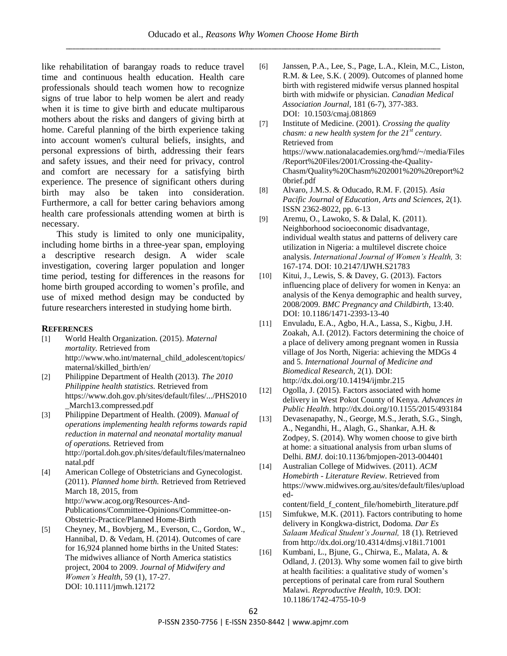like rehabilitation of barangay roads to reduce travel time and continuous health education. Health care professionals should teach women how to recognize signs of true labor to help women be alert and ready when it is time to give birth and educate multiparous mothers about the risks and dangers of giving birth at home. Careful planning of the birth experience taking into account women's cultural beliefs, insights, and personal expressions of birth, addressing their fears and safety issues, and their need for privacy, control and comfort are necessary for a satisfying birth experience. The presence of significant others during birth may also be taken into consideration. Furthermore, a call for better caring behaviors among health care professionals attending women at birth is necessary.

This study is limited to only one municipality, including home births in a three-year span, employing a descriptive research design. A wider scale investigation, covering larger population and longer time period, testing for differences in the reasons for home birth grouped according to women"s profile, and use of mixed method design may be conducted by future researchers interested in studying home birth.

#### **REFERENCES**

- [1] World Health Organization. (2015). *Maternal mortality.* Retrieved from http://www.who.int/maternal\_child\_adolescent/topics/ maternal/skilled\_birth/en/
- [2] Philippine Department of Health (2013). *The 2010 Philippine health statistics.* Retrieved from https://www.doh.gov.ph/sites/default/files/.../PHS2010 \_March13.compressed.pdf
- [3] Philippine Department of Health. (2009). *Manual of operations implementing health reforms towards rapid reduction in maternal and neonatal mortality manual of operations.* Retrieved from http://portal.doh.gov.ph/sites/default/files/maternalneo natal.pdf
- [4] American College of Obstetricians and Gynecologist. (2011). *Planned home birth.* Retrieved from Retrieved March 18, 2015, from http://www.acog.org/Resources-And-Publications/Committee-Opinions/Committee-on-Obstetric-Practice/Planned Home-Birth
- [5] Cheyney, M., Bovbjerg, M., Everson, C., Gordon, W., Hannibal, D. & Vedam, H. (2014). Outcomes of care for 16,924 planned home births in the United States: The midwives alliance of North America statistics project, 2004 to 2009. *Journal of Midwifery and Women's Health,* 59 (1), 17-27. DOI: 10.1111/jmwh.12172
- [6] Janssen, P.A., Lee, S., Page, L.A., Klein, M.C., Liston, R.M. & Lee, S.K. ( 2009). Outcomes of planned home birth with registered midwife versus planned hospital birth with midwife or physician. *Canadian Medical Association Journal,* 181 (6-7), 377-383. DOI: 10.1503/cmaj.081869
- [7] Institute of Medicine. (2001). *Crossing the quality chasm: a new health system for the 21st century.*  Retrieved from https://www.nationalacademies.org/hmd/~/media/Files /Report%20Files/2001/Crossing-the-Quality-Chasm/Quality%20Chasm%202001%20%20report%2 0brief.pdf
- [8] Alvaro, J.M.S. & Oducado, R.M. F. (2015). *Asia Pacific Journal of Education, Arts and Sciences,* 2(1). ISSN 2362-8022, pp. 6-13
- [9] Aremu, O., Lawoko, S. & Dalal, K. (2011). Neighborhood socioeconomic disadvantage, individual wealth status and patterns of delivery care utilization in Nigeria: a multilevel discrete choice analysis. *International Journal of Women's Health,* 3: 167-174. DOI: 10.2147/IJWH.S21783
- [10] Kitui, J., Lewis, S. & Davey, G. (2013). Factors influencing place of delivery for women in Kenya: an analysis of the Kenya demographic and health survey, 2008/2009. *BMC Pregnancy and Childbirth,* 13:40. DOI: 10.1186/1471-2393-13-40
- [11] Envuladu, E.A., Agbo, H.A., Lassa, S., Kigbu, J.H. Zoakah, A.I. (2012). Factors determining the choice of a place of delivery among pregnant women in Russia village of Jos North, Nigeria: achieving the MDGs 4 and 5. *International Journal of Medicine and Biomedical Research,* 2(1). DOI: http://dx.doi.org/10.14194/ijmbr.215
- [12] Ogolla, J. (2015). Factors associated with home delivery in West Pokot County of Kenya. *Advances in Public Health*. http://dx.doi.org/10.1155/2015/493184
- [13] Devasenapathy, N., George, M.S., Jerath, S.G., Singh, A., Negandhi, H., Alagh, G., Shankar, A.H. & Zodpey, S. (2014). Why women choose to give birth at home: a situational analysis from urban slums of Delhi. *BMJ.* doi:10.1136/bmjopen-2013-004401
- [14] Australian College of Midwives. (2011). *ACM Homebirth - Literature Review*. Retrieved from https://www.midwives.org.au/sites/default/files/upload ed-

content/field\_f\_content\_file/homebirth\_literature.pdf [15] Simfukwe, M.K. (2011). Factors contributing to home

- delivery in Kongkwa-district, Dodoma. *Dar Es Salaam Medical Student's Journal,* 18 (1). Retrieved from http://dx.doi.org/10.4314/dmsj.v18i1.71001
- [16] Kumbani, L., Bjune, G., Chirwa, E., Malata, A. & Odland, J. (2013). Why some women fail to give birth at health facilities: a qualitative study of women"s perceptions of perinatal care from rural Southern Malawi. *Reproductive Health*, 10:9. DOI: 10.1186/1742-4755-10-9